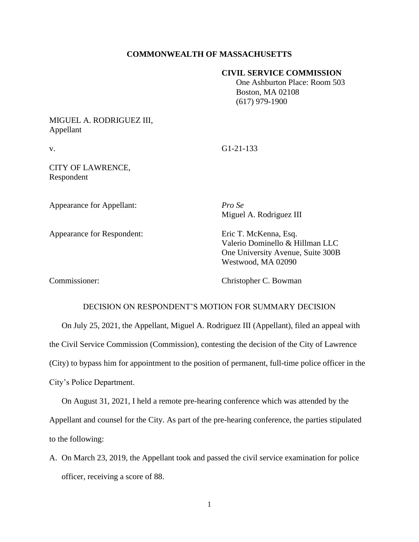### **COMMONWEALTH OF MASSACHUSETTS**

#### **CIVIL SERVICE COMMISSION**

 One Ashburton Place: Room 503 Boston, MA 02108 (617) 979-1900

## MIGUEL A. RODRIGUEZ III, Appellant

v. G1-21-133

CITY OF LAWRENCE, Respondent

Appearance for Appellant: *Pro Se*

Miguel A. Rodriguez III

Appearance for Respondent: Eric T. McKenna, Esq.

Valerio Dominello & Hillman LLC One University Avenue, Suite 300B Westwood, MA 02090

Commissioner: Christopher C. Bowman

### DECISION ON RESPONDENT'S MOTION FOR SUMMARY DECISION

On July 25, 2021, the Appellant, Miguel A. Rodriguez III (Appellant), filed an appeal with the Civil Service Commission (Commission), contesting the decision of the City of Lawrence (City) to bypass him for appointment to the position of permanent, full-time police officer in the City's Police Department.

On August 31, 2021, I held a remote pre-hearing conference which was attended by the Appellant and counsel for the City. As part of the pre-hearing conference, the parties stipulated to the following:

A. On March 23, 2019, the Appellant took and passed the civil service examination for police officer, receiving a score of 88.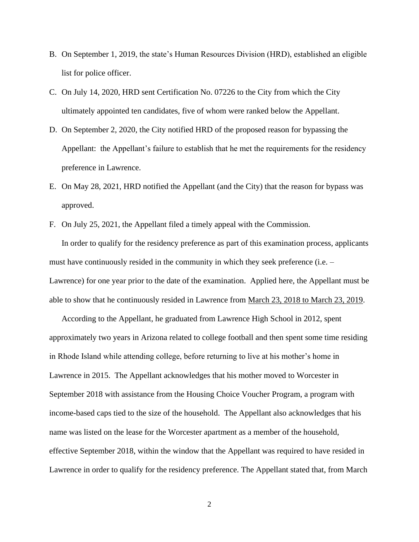- B. On September 1, 2019, the state's Human Resources Division (HRD), established an eligible list for police officer.
- C. On July 14, 2020, HRD sent Certification No. 07226 to the City from which the City ultimately appointed ten candidates, five of whom were ranked below the Appellant.
- D. On September 2, 2020, the City notified HRD of the proposed reason for bypassing the Appellant: the Appellant's failure to establish that he met the requirements for the residency preference in Lawrence.
- E. On May 28, 2021, HRD notified the Appellant (and the City) that the reason for bypass was approved.
- F. On July 25, 2021, the Appellant filed a timely appeal with the Commission.

In order to qualify for the residency preference as part of this examination process, applicants must have continuously resided in the community in which they seek preference (i.e. – Lawrence) for one year prior to the date of the examination. Applied here, the Appellant must be able to show that he continuously resided in Lawrence from March 23, 2018 to March 23, 2019.

According to the Appellant, he graduated from Lawrence High School in 2012, spent approximately two years in Arizona related to college football and then spent some time residing in Rhode Island while attending college, before returning to live at his mother's home in Lawrence in 2015. The Appellant acknowledges that his mother moved to Worcester in September 2018 with assistance from the Housing Choice Voucher Program, a program with income-based caps tied to the size of the household. The Appellant also acknowledges that his name was listed on the lease for the Worcester apartment as a member of the household, effective September 2018, within the window that the Appellant was required to have resided in Lawrence in order to qualify for the residency preference. The Appellant stated that, from March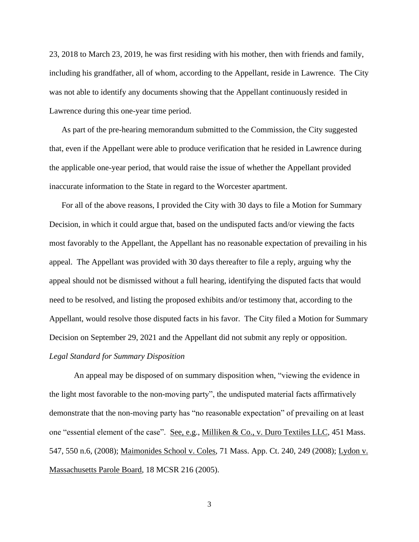23, 2018 to March 23, 2019, he was first residing with his mother, then with friends and family, including his grandfather, all of whom, according to the Appellant, reside in Lawrence. The City was not able to identify any documents showing that the Appellant continuously resided in Lawrence during this one-year time period.

As part of the pre-hearing memorandum submitted to the Commission, the City suggested that, even if the Appellant were able to produce verification that he resided in Lawrence during the applicable one-year period, that would raise the issue of whether the Appellant provided inaccurate information to the State in regard to the Worcester apartment.

For all of the above reasons, I provided the City with 30 days to file a Motion for Summary Decision, in which it could argue that, based on the undisputed facts and/or viewing the facts most favorably to the Appellant, the Appellant has no reasonable expectation of prevailing in his appeal. The Appellant was provided with 30 days thereafter to file a reply, arguing why the appeal should not be dismissed without a full hearing, identifying the disputed facts that would need to be resolved, and listing the proposed exhibits and/or testimony that, according to the Appellant, would resolve those disputed facts in his favor. The City filed a Motion for Summary Decision on September 29, 2021 and the Appellant did not submit any reply or opposition. *Legal Standard for Summary Disposition*

An appeal may be disposed of on summary disposition when, "viewing the evidence in the light most favorable to the non-moving party", the undisputed material facts affirmatively demonstrate that the non-moving party has "no reasonable expectation" of prevailing on at least one "essential element of the case". See, e.g., Milliken & Co., v. Duro Textiles LLC, 451 Mass. 547, 550 n.6, (2008); Maimonides School v. Coles, 71 Mass. App. Ct. 240, 249 (2008); Lydon v. Massachusetts Parole Board, 18 MCSR 216 (2005).

3